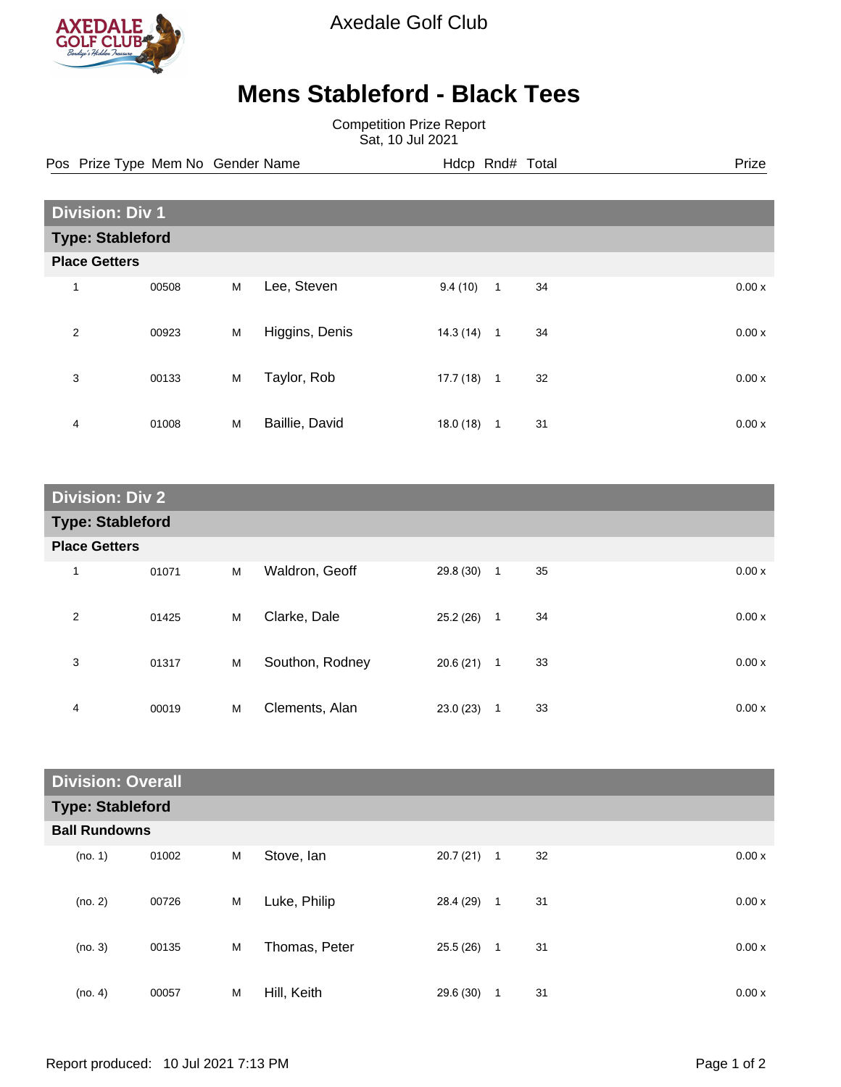

Axedale Golf Club

## **Mens Stableford - Black Tees**

Competition Prize Report Sat, 10 Jul 2021

Pos Prize Type Mem No Gender Name **Hdcp Rnd# Total** Prize Prize

| <b>Division: Div 1</b>  |       |   |                |          |                |    |  |       |
|-------------------------|-------|---|----------------|----------|----------------|----|--|-------|
| <b>Type: Stableford</b> |       |   |                |          |                |    |  |       |
| <b>Place Getters</b>    |       |   |                |          |                |    |  |       |
| 1                       | 00508 | M | Lee, Steven    | 9.4(10)  | $\overline{1}$ | 34 |  | 0.00x |
| 2                       | 00923 | M | Higgins, Denis | 14.3(14) | $\overline{1}$ | 34 |  | 0.00x |
| 3                       | 00133 | M | Taylor, Rob    | 17.7(18) | $\overline{1}$ | 32 |  | 0.00x |
| 4                       | 01008 | M | Baillie, David | 18.0(18) | $\mathbf{1}$   | 31 |  | 0.00x |

| <b>Division: Div 2</b>  |       |   |                 |           |              |    |  |       |
|-------------------------|-------|---|-----------------|-----------|--------------|----|--|-------|
| <b>Type: Stableford</b> |       |   |                 |           |              |    |  |       |
| <b>Place Getters</b>    |       |   |                 |           |              |    |  |       |
| $\mathbf 1$             | 01071 | M | Waldron, Geoff  | 29.8 (30) | $\mathbf{1}$ | 35 |  | 0.00x |
| 2                       | 01425 | M | Clarke, Dale    | 25.2(26)  | $\mathbf{1}$ | 34 |  | 0.00x |
| 3                       | 01317 | M | Southon, Rodney | 20.6 (21) | $\mathbf{1}$ | 33 |  | 0.00x |
| 4                       | 00019 | M | Clements, Alan  | 23.0(23)  | 1            | 33 |  | 0.00x |

| <b>Division: Overall</b> |       |   |               |           |              |    |       |
|--------------------------|-------|---|---------------|-----------|--------------|----|-------|
| <b>Type: Stableford</b>  |       |   |               |           |              |    |       |
| <b>Ball Rundowns</b>     |       |   |               |           |              |    |       |
| (no. 1)                  | 01002 | M | Stove, Ian    | 20.7(21)  | $\mathbf{1}$ | 32 | 0.00x |
| (no. 2)                  | 00726 | M | Luke, Philip  | 28.4 (29) | $\mathbf{1}$ | 31 | 0.00x |
| (no. 3)                  | 00135 | M | Thomas, Peter | 25.5(26)  | 1            | 31 | 0.00x |
| (no. 4)                  | 00057 | M | Hill, Keith   | 29.6 (30) | 1            | 31 | 0.00x |